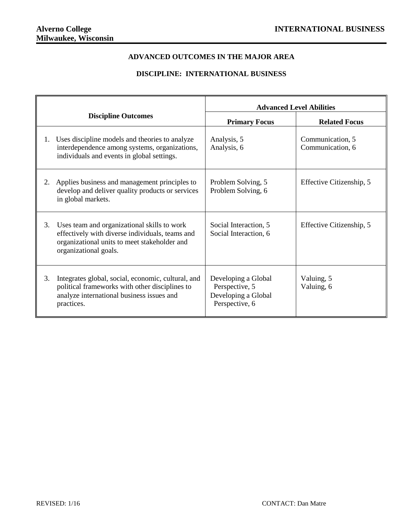## **ADVANCED OUTCOMES IN THE MAJOR AREA**

## **DISCIPLINE: INTERNATIONAL BUSINESS**

|    |                                                                                                                                                                         | <b>Advanced Level Abilities</b>                                                |                                      |  |  |
|----|-------------------------------------------------------------------------------------------------------------------------------------------------------------------------|--------------------------------------------------------------------------------|--------------------------------------|--|--|
|    | <b>Discipline Outcomes</b>                                                                                                                                              | <b>Primary Focus</b>                                                           | <b>Related Focus</b>                 |  |  |
| 1. | Uses discipline models and theories to analyze<br>interdependence among systems, organizations,<br>individuals and events in global settings.                           | Analysis, 5<br>Analysis, 6                                                     | Communication, 5<br>Communication, 6 |  |  |
| 2. | Applies business and management principles to<br>develop and deliver quality products or services<br>in global markets.                                                 | Problem Solving, 5<br>Problem Solving, 6                                       | Effective Citizenship, 5             |  |  |
| 3. | Uses team and organizational skills to work<br>effectively with diverse individuals, teams and<br>organizational units to meet stakeholder and<br>organizational goals. | Social Interaction, 5<br>Social Interaction, 6                                 | Effective Citizenship, 5             |  |  |
| 3. | Integrates global, social, economic, cultural, and<br>political frameworks with other disciplines to<br>analyze international business issues and<br>practices.         | Developing a Global<br>Perspective, 5<br>Developing a Global<br>Perspective, 6 | Valuing, 5<br>Valuing, 6             |  |  |